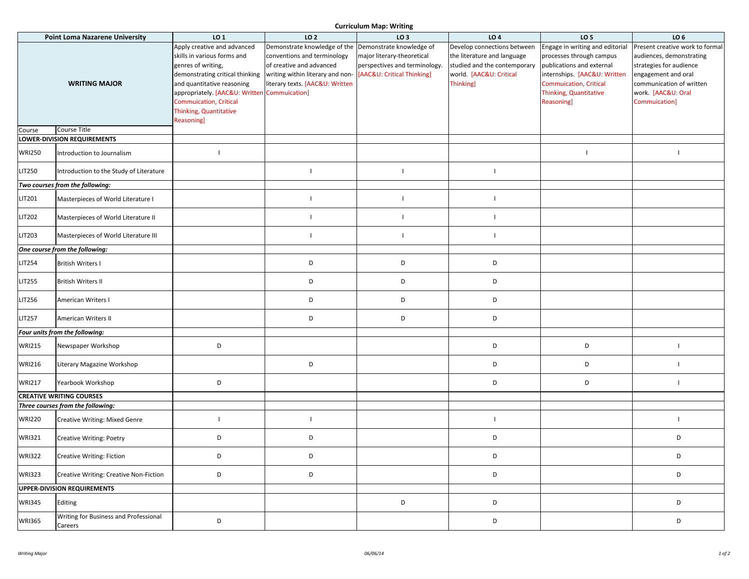**Curriculum Map: Writing**

| <b>Point Loma Nazarene University</b> |                                                  | LO <sub>1</sub>                              | LO <sub>2</sub>                                             | LO <sub>3</sub>               | LO <sub>4</sub>              | LO <sub>5</sub>                 | LO <sub>6</sub>                 |
|---------------------------------------|--------------------------------------------------|----------------------------------------------|-------------------------------------------------------------|-------------------------------|------------------------------|---------------------------------|---------------------------------|
|                                       |                                                  | Apply creative and advanced                  | Demonstrate knowledge of the Demonstrate knowledge of       |                               | Develop connections between  | Engage in writing and editorial | Present creative work to formal |
|                                       |                                                  | skills in various forms and                  | conventions and terminology                                 | major literary-theoretical    | the literature and language  | processes through campus        | audiences, demonstrating        |
|                                       |                                                  | genres of writing,                           | of creative and advanced                                    | perspectives and terminology. | studied and the contemporary | publications and external       | strategies for audience         |
|                                       |                                                  | demonstrating critical thinking              | writing within literary and non- [AAC&U: Critical Thinking] |                               | world. [AAC&U: Critical      | internships. [AAC&U: Written    | engagement and oral             |
|                                       |                                                  |                                              |                                                             |                               |                              |                                 |                                 |
|                                       | <b>WRITING MAJOR</b>                             | and quantitative reasoning                   | literary texts. [AAC&U: Written                             |                               | Thinking]                    | <b>Commuication, Critical</b>   | communication of written        |
|                                       |                                                  | appropriately. [AAC&U: Written Commuication] |                                                             |                               |                              | <b>Thinking, Quantitative</b>   | work. [AAC&U: Oral              |
|                                       |                                                  | <b>Commuication, Critical</b>                |                                                             |                               |                              | Reasoning]                      | Commuication]                   |
|                                       |                                                  | Thinking, Quantitative                       |                                                             |                               |                              |                                 |                                 |
|                                       |                                                  |                                              |                                                             |                               |                              |                                 |                                 |
|                                       | <b>Course Title</b>                              | Reasoning]                                   |                                                             |                               |                              |                                 |                                 |
| Course                                |                                                  |                                              |                                                             |                               |                              |                                 |                                 |
|                                       | LOWER-DIVISION REQUIREMENTS                      |                                              |                                                             |                               |                              |                                 |                                 |
| <b>WRI250</b>                         | Introduction to Journalism                       | $\mathbf{I}$                                 |                                                             |                               |                              |                                 |                                 |
| LIT250                                | Introduction to the Study of Literature          |                                              | $\mathbf{I}$                                                | $\mathbf{I}$                  | $\overline{\phantom{a}}$     |                                 |                                 |
|                                       | Two courses from the following:                  |                                              |                                                             |                               |                              |                                 |                                 |
| LIT201                                | Masterpieces of World Literature I               |                                              | $\mathbf{I}$                                                | $\overline{\phantom{a}}$      | -1                           |                                 |                                 |
|                                       |                                                  |                                              |                                                             |                               |                              |                                 |                                 |
| LIT202                                | Masterpieces of World Literature II              |                                              | $\mathbf{L}$                                                | $\mathbf{I}$                  | $\overline{\phantom{a}}$     |                                 |                                 |
| LIT203                                | Masterpieces of World Literature III             |                                              | $\mathbf{I}$                                                | $\overline{\phantom{a}}$      | $\overline{\phantom{a}}$     |                                 |                                 |
|                                       | One course from the following:                   |                                              |                                                             |                               |                              |                                 |                                 |
|                                       |                                                  |                                              |                                                             |                               |                              |                                 |                                 |
| LIT254                                | <b>British Writers I</b>                         |                                              | D                                                           | D                             | D                            |                                 |                                 |
| LIT255                                | <b>British Writers II</b>                        |                                              | D                                                           | D                             | D                            |                                 |                                 |
| LIT256                                | American Writers I                               |                                              | D                                                           | D                             | D                            |                                 |                                 |
| <b>LIT257</b>                         | American Writers II                              |                                              | D                                                           | D                             | D                            |                                 |                                 |
| Four units from the following:        |                                                  |                                              |                                                             |                               |                              |                                 |                                 |
|                                       |                                                  |                                              |                                                             |                               |                              |                                 |                                 |
| <b>WRI215</b>                         | Newspaper Workshop                               | D                                            |                                                             |                               | D                            | D                               |                                 |
| <b>WRI216</b>                         | Literary Magazine Workshop                       |                                              | D                                                           |                               | D                            | D                               | $\mathbf{I}$                    |
| <b>WRI217</b>                         | Yearbook Workshop                                | D                                            |                                                             |                               | D                            | D                               |                                 |
|                                       | <b>CREATIVE WRITING COURSES</b>                  |                                              |                                                             |                               |                              |                                 |                                 |
|                                       | Three courses from the following:                |                                              |                                                             |                               |                              |                                 |                                 |
| <b>WRI220</b>                         | Creative Writing: Mixed Genre                    |                                              | $\mathbf{L}$                                                |                               | $\overline{\phantom{a}}$     |                                 | $\mathbf{I}$                    |
| <b>WRI321</b>                         | Creative Writing: Poetry                         | D                                            | D                                                           |                               | D                            |                                 | D                               |
| <b>WRI322</b>                         | <b>Creative Writing: Fiction</b>                 | D                                            | D                                                           |                               | D                            |                                 | D                               |
| <b>WRI323</b>                         | Creative Writing: Creative Non-Fiction           | D                                            | D                                                           |                               | D                            |                                 | D                               |
|                                       | UPPER-DIVISION REQUIREMENTS                      |                                              |                                                             |                               |                              |                                 |                                 |
| <b>WRI345</b>                         | Editing                                          |                                              |                                                             | D                             | D                            |                                 | D                               |
| <b>WRI365</b>                         | Writing for Business and Professional<br>Careers | D                                            |                                                             |                               | D                            |                                 | D                               |